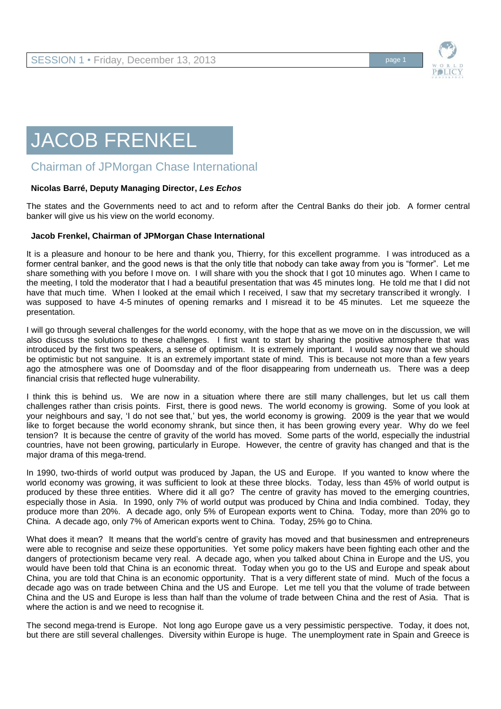

## JACOB FRENKEL

## Chairman of JPMorgan Chase International

## **Nicolas Barré, Deputy Managing Director,** *Les Echos*

The states and the Governments need to act and to reform after the Central Banks do their job. A former central banker will give us his view on the world economy.

## **Jacob Frenkel, Chairman of JPMorgan Chase International**

It is a pleasure and honour to be here and thank you, Thierry, for this excellent programme. I was introduced as a former central banker, and the good news is that the only title that nobody can take away from you is "former". Let me share something with you before I move on. I will share with you the shock that I got 10 minutes ago. When I came to the meeting, I told the moderator that I had a beautiful presentation that was 45 minutes long. He told me that I did not have that much time. When I looked at the email which I received, I saw that my secretary transcribed it wrongly. I was supposed to have 4-5 minutes of opening remarks and I misread it to be 45 minutes. Let me squeeze the presentation.

I will go through several challenges for the world economy, with the hope that as we move on in the discussion, we will also discuss the solutions to these challenges. I first want to start by sharing the positive atmosphere that was introduced by the first two speakers, a sense of optimism. It is extremely important. I would say now that we should be optimistic but not sanguine. It is an extremely important state of mind. This is because not more than a few years ago the atmosphere was one of Doomsday and of the floor disappearing from underneath us. There was a deep financial crisis that reflected huge vulnerability.

I think this is behind us. We are now in a situation where there are still many challenges, but let us call them challenges rather than crisis points. First, there is good news. The world economy is growing. Some of you look at your neighbours and say, 'I do not see that,' but yes, the world economy is growing. 2009 is the year that we would like to forget because the world economy shrank, but since then, it has been growing every year. Why do we feel tension? It is because the centre of gravity of the world has moved. Some parts of the world, especially the industrial countries, have not been growing, particularly in Europe. However, the centre of gravity has changed and that is the major drama of this mega-trend.

In 1990, two-thirds of world output was produced by Japan, the US and Europe. If you wanted to know where the world economy was growing, it was sufficient to look at these three blocks. Today, less than 45% of world output is produced by these three entities. Where did it all go? The centre of gravity has moved to the emerging countries, especially those in Asia. In 1990, only 7% of world output was produced by China and India combined. Today, they produce more than 20%. A decade ago, only 5% of European exports went to China. Today, more than 20% go to China. A decade ago, only 7% of American exports went to China. Today, 25% go to China.

What does it mean? It means that the world's centre of gravity has moved and that businessmen and entrepreneurs were able to recognise and seize these opportunities. Yet some policy makers have been fighting each other and the dangers of protectionism became very real. A decade ago, when you talked about China in Europe and the US, you would have been told that China is an economic threat. Today when you go to the US and Europe and speak about China, you are told that China is an economic opportunity. That is a very different state of mind. Much of the focus a decade ago was on trade between China and the US and Europe. Let me tell you that the volume of trade between China and the US and Europe is less than half than the volume of trade between China and the rest of Asia. That is where the action is and we need to recognise it.

The second mega-trend is Europe. Not long ago Europe gave us a very pessimistic perspective. Today, it does not, but there are still several challenges. Diversity within Europe is huge. The unemployment rate in Spain and Greece is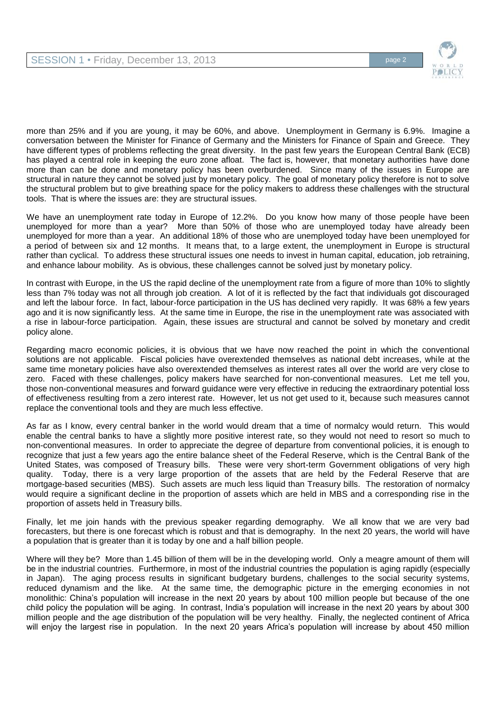

more than 25% and if you are young, it may be 60%, and above. Unemployment in Germany is 6.9%. Imagine a conversation between the Minister for Finance of Germany and the Ministers for Finance of Spain and Greece. They have different types of problems reflecting the great diversity. In the past few years the European Central Bank (ECB) has played a central role in keeping the euro zone afloat. The fact is, however, that monetary authorities have done more than can be done and monetary policy has been overburdened. Since many of the issues in Europe are structural in nature they cannot be solved just by monetary policy. The goal of monetary policy therefore is not to solve the structural problem but to give breathing space for the policy makers to address these challenges with the structural tools. That is where the issues are: they are structural issues.

We have an unemployment rate today in Europe of 12.2%. Do you know how many of those people have been unemployed for more than a year? More than 50% of those who are unemployed today have already been unemployed for more than a year. An additional 18% of those who are unemployed today have been unemployed for a period of between six and 12 months. It means that, to a large extent, the unemployment in Europe is structural rather than cyclical. To address these structural issues one needs to invest in human capital, education, job retraining, and enhance labour mobility. As is obvious, these challenges cannot be solved just by monetary policy.

In contrast with Europe, in the US the rapid decline of the unemployment rate from a figure of more than 10% to slightly less than 7% today was not all through job creation. A lot of it is reflected by the fact that individuals got discouraged and left the labour force. In fact, labour-force participation in the US has declined very rapidly. It was 68% a few years ago and it is now significantly less. At the same time in Europe, the rise in the unemployment rate was associated with a rise in labour-force participation. Again, these issues are structural and cannot be solved by monetary and credit policy alone.

Regarding macro economic policies, it is obvious that we have now reached the point in which the conventional solutions are not applicable. Fiscal policies have overextended themselves as national debt increases, while at the same time monetary policies have also overextended themselves as interest rates all over the world are very close to zero. Faced with these challenges, policy makers have searched for non-conventional measures. Let me tell you, those non-conventional measures and forward guidance were very effective in reducing the extraordinary potential loss of effectiveness resulting from a zero interest rate. However, let us not get used to it, because such measures cannot replace the conventional tools and they are much less effective.

As far as I know, every central banker in the world would dream that a time of normalcy would return. This would enable the central banks to have a slightly more positive interest rate, so they would not need to resort so much to non-conventional measures. In order to appreciate the degree of departure from conventional policies, it is enough to recognize that just a few years ago the entire balance sheet of the Federal Reserve, which is the Central Bank of the United States, was composed of Treasury bills. These were very short-term Government obligations of very high quality. Today, there is a very large proportion of the assets that are held by the Federal Reserve that are mortgage-based securities (MBS). Such assets are much less liquid than Treasury bills. The restoration of normalcy would require a significant decline in the proportion of assets which are held in MBS and a corresponding rise in the proportion of assets held in Treasury bills.

Finally, let me join hands with the previous speaker regarding demography. We all know that we are very bad forecasters, but there is one forecast which is robust and that is demography. In the next 20 years, the world will have a population that is greater than it is today by one and a half billion people.

Where will they be? More than 1.45 billion of them will be in the developing world. Only a meagre amount of them will be in the industrial countries. Furthermore, in most of the industrial countries the population is aging rapidly (especially in Japan). The aging process results in significant budgetary burdens, challenges to the social security systems, reduced dynamism and the like. At the same time, the demographic picture in the emerging economies in not monolithic: China's population will increase in the next 20 years by about 100 million people but because of the one child policy the population will be aging. In contrast, India's population will increase in the next 20 years by about 300 million people and the age distribution of the population will be very healthy. Finally, the neglected continent of Africa will enjoy the largest rise in population. In the next 20 years Africa's population will increase by about 450 million